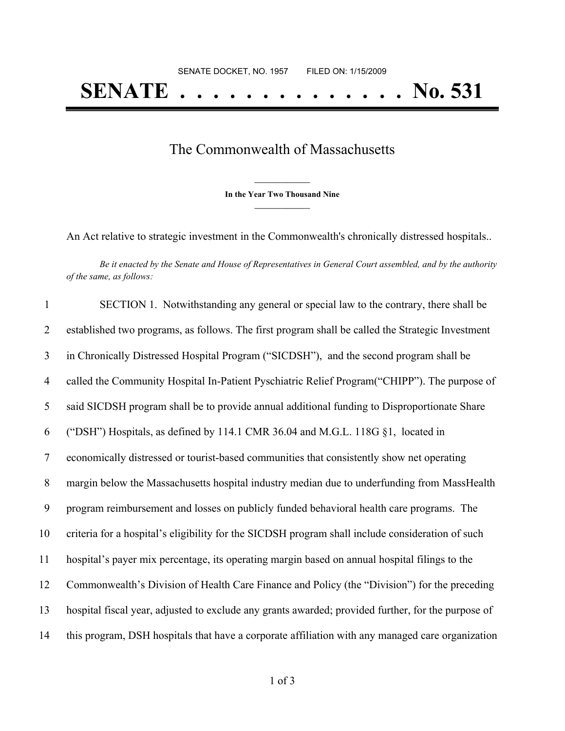## The Commonwealth of Massachusetts

**\_\_\_\_\_\_\_\_\_\_\_\_\_\_\_ In the Year Two Thousand Nine \_\_\_\_\_\_\_\_\_\_\_\_\_\_\_**

An Act relative to strategic investment in the Commonwealth's chronically distressed hospitals..

Be it enacted by the Senate and House of Representatives in General Court assembled, and by the authority *of the same, as follows:*

 SECTION 1. Notwithstanding any general or special law to the contrary, there shall be established two programs, as follows. The first program shall be called the Strategic Investment in Chronically Distressed Hospital Program ("SICDSH"), and the second program shall be called the Community Hospital In-Patient Pyschiatric Relief Program("CHIPP"). The purpose of said SICDSH program shall be to provide annual additional funding to Disproportionate Share ("DSH") Hospitals, as defined by 114.1 CMR 36.04 and M.G.L. 118G §1, located in economically distressed or tourist-based communities that consistently show net operating margin below the Massachusetts hospital industry median due to underfunding from MassHealth program reimbursement and losses on publicly funded behavioral health care programs. The criteria for a hospital's eligibility for the SICDSH program shall include consideration of such hospital's payer mix percentage, its operating margin based on annual hospital filings to the Commonwealth's Division of Health Care Finance and Policy (the "Division") for the preceding hospital fiscal year, adjusted to exclude any grants awarded; provided further, for the purpose of this program, DSH hospitals that have a corporate affiliation with any managed care organization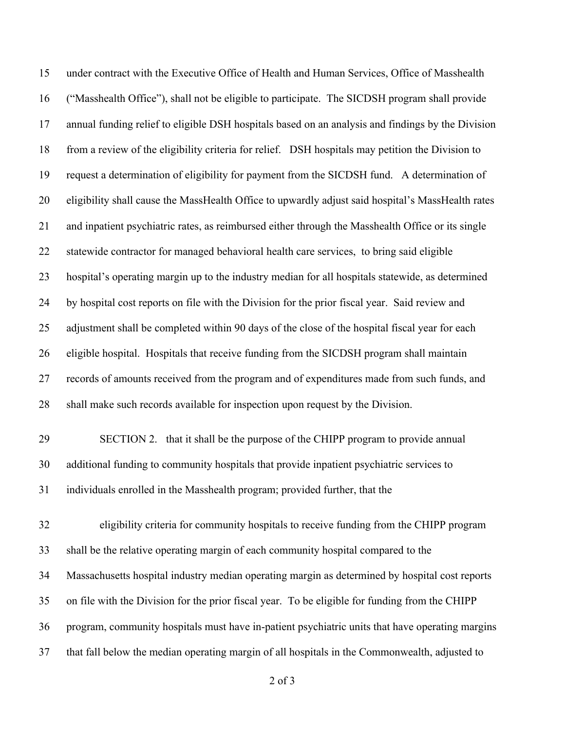under contract with the Executive Office of Health and Human Services, Office of Masshealth ("Masshealth Office"), shall not be eligible to participate. The SICDSH program shall provide annual funding relief to eligible DSH hospitals based on an analysis and findings by the Division from a review of the eligibility criteria for relief. DSH hospitals may petition the Division to request a determination of eligibility for payment from the SICDSH fund. A determination of eligibility shall cause the MassHealth Office to upwardly adjust said hospital's MassHealth rates and inpatient psychiatric rates, as reimbursed either through the Masshealth Office or its single statewide contractor for managed behavioral health care services, to bring said eligible hospital's operating margin up to the industry median for all hospitals statewide, as determined by hospital cost reports on file with the Division for the prior fiscal year. Said review and adjustment shall be completed within 90 days of the close of the hospital fiscal year for each eligible hospital. Hospitals that receive funding from the SICDSH program shall maintain records of amounts received from the program and of expenditures made from such funds, and shall make such records available for inspection upon request by the Division. SECTION 2. that it shall be the purpose of the CHIPP program to provide annual additional funding to community hospitals that provide inpatient psychiatric services to individuals enrolled in the Masshealth program; provided further, that the eligibility criteria for community hospitals to receive funding from the CHIPP program shall be the relative operating margin of each community hospital compared to the Massachusetts hospital industry median operating margin as determined by hospital cost reports on file with the Division for the prior fiscal year. To be eligible for funding from the CHIPP program, community hospitals must have in-patient psychiatric units that have operating margins that fall below the median operating margin of all hospitals in the Commonwealth, adjusted to

of 3